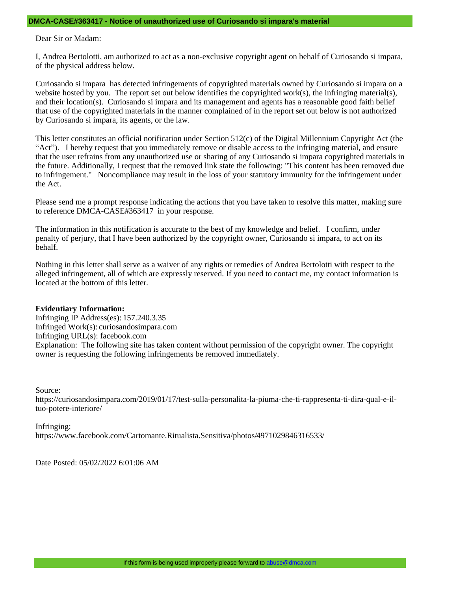## **DMCA-CASE#363417 - Notice of unauthorized use of Curiosando si impara's material**

Dear Sir or Madam:

I, Andrea Bertolotti, am authorized to act as a non-exclusive copyright agent on behalf of Curiosando si impara, of the physical address below.

Curiosando si impara has detected infringements of copyrighted materials owned by Curiosando si impara on a website hosted by you. The report set out below identifies the copyrighted work(s), the infringing material(s), and their location(s). Curiosando si impara and its management and agents has a reasonable good faith belief that use of the copyrighted materials in the manner complained of in the report set out below is not authorized by Curiosando si impara, its agents, or the law.

This letter constitutes an official notification under Section 512(c) of the Digital Millennium Copyright Act (the "Act"). I hereby request that you immediately remove or disable access to the infringing material, and ensure that the user refrains from any unauthorized use or sharing of any Curiosando si impara copyrighted materials in the future. Additionally, I request that the removed link state the following: "This content has been removed due to infringement." Noncompliance may result in the loss of your statutory immunity for the infringement under the Act.

Please send me a prompt response indicating the actions that you have taken to resolve this matter, making sure to reference DMCA-CASE#363417 in your response.

The information in this notification is accurate to the best of my knowledge and belief. I confirm, under penalty of perjury, that I have been authorized by the copyright owner, Curiosando si impara, to act on its behalf.

Nothing in this letter shall serve as a waiver of any rights or remedies of Andrea Bertolotti with respect to the alleged infringement, all of which are expressly reserved. If you need to contact me, my contact information is located at the bottom of this letter.

## **Evidentiary Information:**

Infringing IP Address(es): 157.240.3.35 Infringed Work(s): curiosandosimpara.com Infringing URL(s): facebook.com Explanation: The following site has taken content without permission of the copyright owner. The copyright owner is requesting the following infringements be removed immediately.

Source:

https://curiosandosimpara.com/2019/01/17/test-sulla-personalita-la-piuma-che-ti-rappresenta-ti-dira-qual-e-iltuo-potere-interiore/

Infringing: https://www.facebook.com/Cartomante.Ritualista.Sensitiva/photos/4971029846316533/

Date Posted: 05/02/2022 6:01:06 AM